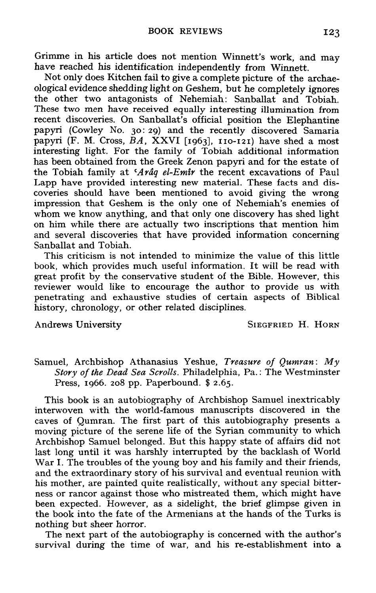Grimme in his article does not mention Winnett's work, and may have reached his identification independently from Winnett.

Not only does Kitchen fail to give a complete picture of the archaeological evidence shedding light on Geshem, but he completely ignores the other two antagonists of Nehemiah: Sanballat and Tobiah. These two men have received equally interesting illumination from recent discoveries. On Sanballat's official position the Elephantine papyri (Cowley No. 30: **29)** and the recently discovered Samaria papyri (F. M. Cross, *BA*, XXVI [1963], 110-121) have shed a most interesting light. For the family of Tobiah additional information has been obtained from the Greek Zenon papyri and for the estate of the Tobiah family at *Arâg el-Emir* the recent excavations of Paul Lapp have provided interesting new material. These facts and discoveries should have been mentioned to avoid giving the wrong impression that Geshem is the only one of Nehemiah's enemies of whom we know anything, and that only one discovery has shed light on him while there are actually two inscriptions that mention him and several discoveries that have provided information concerning Sanballat and Tobiah.

This criticism is not intended to minimize the value of this little book, which provides much useful information. It will be read with great profit by the conservative student of the Bible. However, this reviewer would like to encourage the author to provide us with penetrating and exhaustive studies of certain aspects of Biblical history, chronology, or other related disciplines.

Andrews University **SIEGFRIED H. HORN** 

Samuel, Archbishop Athanasius Yeshue, *Treasure of Qumran* : *My Story of the* **Dead** *Sea Scrolls.* Philadelphia, Pa.: The Westminster Press, 1966. 208 pp. Paperbound. \$ 2.65.

This book is an autobiography of Archbishop Samuel inextricably interwoven with the world-famous manuscripts discovered in the caves of Qumran. The first part of this autobiography presents a moving picture of the serene life of the Syrian community to which Archbishop Samuel belonged. But this happy state of affairs did not last long until it was harshly interrupted by the backlash of World War I. The troubles of the young boy and his family and their friends, and the extraordinary story of his survival and eventual reunion with his mother, are painted quite realistically, without any special bitterness or rancor against those who mistreated them, which might have been expected. However, as a sidelight, the brief glimpse given in the book into the fate of the Armenians at the hands of the Turks is nothing but sheer horror.

The next part of the autobiography is concerned with the author's survival during the time of war, and his re-establishment into a